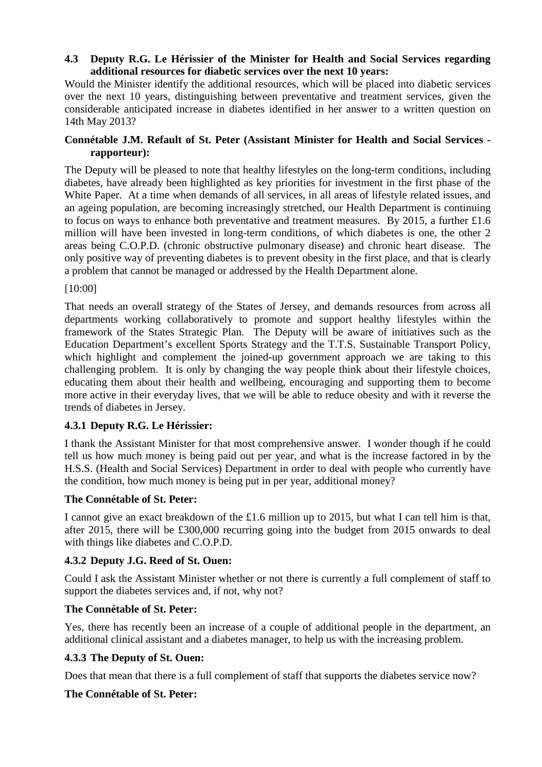### **4.3 Deputy R.G. Le Hérissier of the Minister for Health and Social Services regarding additional resources for diabetic services over the next 10 years:**

Would the Minister identify the additional resources, which will be placed into diabetic services over the next 10 years, distinguishing between preventative and treatment services, given the considerable anticipated increase in diabetes identified in her answer to a written question on 14th May 2013?

### **Connétable J.M. Refault of St. Peter (Assistant Minister for Health and Social Services rapporteur):**

The Deputy will be pleased to note that healthy lifestyles on the long-term conditions, including diabetes, have already been highlighted as key priorities for investment in the first phase of the White Paper. At a time when demands of all services, in all areas of lifestyle related issues, and an ageing population, are becoming increasingly stretched, our Health Department is continuing to focus on ways to enhance both preventative and treatment measures. By 2015, a further £1.6 million will have been invested in long-term conditions, of which diabetes is one, the other 2 areas being C.O.P.D. (chronic obstructive pulmonary disease) and chronic heart disease. The only positive way of preventing diabetes is to prevent obesity in the first place, and that is clearly a problem that cannot be managed or addressed by the Health Department alone.

### [10:00]

That needs an overall strategy of the States of Jersey, and demands resources from across all departments working collaboratively to promote and support healthy lifestyles within the framework of the States Strategic Plan. The Deputy will be aware of initiatives such as the Education Department's excellent Sports Strategy and the T.T.S. Sustainable Transport Policy, which highlight and complement the joined-up government approach we are taking to this challenging problem. It is only by changing the way people think about their lifestyle choices, educating them about their health and wellbeing, encouraging and supporting them to become more active in their everyday lives, that we will be able to reduce obesity and with it reverse the trends of diabetes in Jersey.

### **4.3.1 Deputy R.G. Le Hérissier:**

I thank the Assistant Minister for that most comprehensive answer. I wonder though if he could tell us how much money is being paid out per year, and what is the increase factored in by the H.S.S. (Health and Social Services) Department in order to deal with people who currently have the condition, how much money is being put in per year, additional money?

### **The Connétable of St. Peter:**

I cannot give an exact breakdown of the £1.6 million up to 2015, but what I can tell him is that, after 2015, there will be £300,000 recurring going into the budget from 2015 onwards to deal with things like diabetes and C.O.P.D.

# **4.3.2 Deputy J.G. Reed of St. Ouen:**

Could I ask the Assistant Minister whether or not there is currently a full complement of staff to support the diabetes services and, if not, why not?

### **The Connétable of St. Peter:**

Yes, there has recently been an increase of a couple of additional people in the department, an additional clinical assistant and a diabetes manager, to help us with the increasing problem.

# **4.3.3 The Deputy of St. Ouen:**

Does that mean that there is a full complement of staff that supports the diabetes service now?

# **The Connétable of St. Peter:**